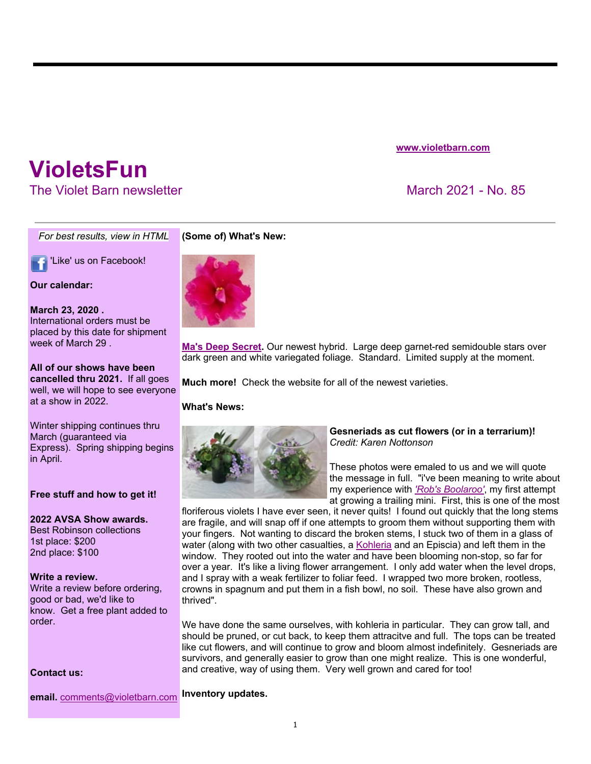### **www.violetbarn.com**

# **VioletsFun**

The Violet Barn newsletter March 2021 - No. 85

*For best results, view in HTML*

'Like' us on Facebook!

#### **Our calendar:**

# **March 23, 2020 .**

International orders must be placed by this date for shipment week of March 29 .

**All of our shows have been cancelled thru 2021.** If all goes well, we will hope to see everyone at a show in 2022.

Winter shipping continues thru March (guaranteed via Express). Spring shipping begins in April.

# **Free stuff and how to get it!**

# **2022 AVSA Show awards.**

Best Robinson collections 1st place: \$200 2nd place: \$100

#### **Write a review.**

Write a review before ordering, good or bad, we'd like to know. Get a free plant added to order.

#### **Contact us:**

**email.** comments@violetbarn.com **Inventory updates.**

# **(Some of) What's New:**



**Ma's Deep Secret.** Our newest hybrid. Large deep garnet-red semidouble stars over dark green and white variegated foliage. Standard. Limited supply at the moment.

**Much more!** Check the website for all of the newest varieties.

#### **What's News:**



#### **Gesneriads as cut flowers (or in a terrarium)!**  *Credit: Karen Nottonson*

These photos were emaled to us and we will quote the message in full. "i've been meaning to write about my experience with *'Rob's Boolaroo'*, my first attempt at growing a trailing mini. First, this is one of the most

floriferous violets I have ever seen, it never quits! I found out quickly that the long stems are fragile, and will snap off if one attempts to groom them without supporting them with your fingers. Not wanting to discard the broken stems, I stuck two of them in a glass of water (along with two other casualties, a Kohleria and an Episcia) and left them in the window. They rooted out into the water and have been blooming non-stop, so far for over a year. It's like a living flower arrangement. I only add water when the level drops, and I spray with a weak fertilizer to foliar feed. I wrapped two more broken, rootless, crowns in spagnum and put them in a fish bowl, no soil. These have also grown and thrived".

We have done the same ourselves, with kohleria in particular. They can grow tall, and should be pruned, or cut back, to keep them attracitve and full. The tops can be treated like cut flowers, and will continue to grow and bloom almost indefinitely. Gesneriads are survivors, and generally easier to grow than one might realize. This is one wonderful, and creative, way of using them. Very well grown and cared for too!